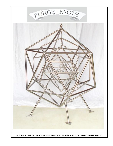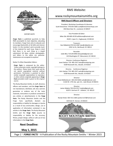

#### **EDITOR'S NOTE**

Forge Facts is published quarterly to help RMS accomplish its main objective, educating its members. Forge Facts aims to educate and encourage blacksmiths of all skills and interest levels. It is the member's job to provide much of the material for each issue. Keep in mind that there is no such thing as a stupid submission! All ideas, articles, photographs, and letters to the editor are welcome. Submissions are accepted at anytime!

Notice To Other Newsletter Editors:

**Forge Facts** is composed by the editor. 'Unless otherwise noted, copyright belongs to the authors. Please honor their work and do not reprint copyrighted material without permission. Permission is granted to other similar nonprofit organizations to reproduce in other articles originally appearing in Forge Facts provided credit is given to the original source.

The Rocky Mountain Smiths, its staff, directors, officers and members, and the Forge Facts do not manufacture, distribute, sell, test, warrant, guarantee or endorse any of the tools, materials, instructions or products contained in any articles or advertisements in the Forge Facts. The Rocky Mountain Smiths and the Facts specifically disclaim any Forge responsibility or liability for damages or injuries as a result of any construction, design, use or application of information contained in any articles in the Forge Facts. The Rocky Mountain Smiths and the Forge Facts assume no responsibility or liability for the accuracy, fitness, proper design, safety or safe use of any information in the Forge Facts.

### **Next Deadline:**

May 1, 2015

# **RMS Website:**

## www.rockymountainsmiths.org

#### **RMS Board Officers and Directors**

President, Workshop Coordinator & Librarian: Scott Kretschmer 970-593-5683 scott@kretschmershops.com 196 Mule Deer Dr., Loveland, CO 80537 

Vice President & Editor:

Mike Otis 303-895-9578 buffalomo@hotmail.com

4520 S. Lipan Ct., Englewood, CO 80110

Treasurer: Dan Nibbelink 970-532-4387 dan@nibbelink.net 1932 1st St., Berthoud, CO 80513

Recorder: Jodie Bliss 719-244-8992 blissjodie@gmail.com 143 Washington ST. Monument, CO 80132

Director, Conference Registrar: Janet Switzer 719-485-2327 Switz@mindspring.com 6100 Roosevelt Ave., Beulah, CO 81023

Director, Conference Registrar: John Switzer 719-485-2327 switz@mindspring.com 6100 Roosevelt Ave., Beulah, CO 81023

Director: Grant Mellenbruch 303-234-9248 rustix@atdenver.com 11163 W. 17th Ave. apt.111, Lake Wood, CO 80215

Director: James Makely 720-224-2517 makely@gmail.com 6229 S. Garrison ST. Littleton, CO 80123

Director:

Randy Parker 303-722-2188 rparker1157@hotmail.com

320 Elati ST. Denver, CO 80223



Page 2  $\sim$  FORGE FACTS  $\sim$  A Publication of the Rocky Mountain Smiths  $\sim$  Winter 2015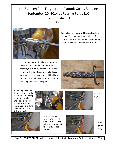# Joe Burleigh Pipe Forging and Platonic Solids Building September 20, 2014 at Roaring Forge LLC Carbondale, CO Part 2



Joe makes his faux sword blades, (the kind that won't cut anybody but could kill if clubbed over the head with it) by squeezing square tube on the diamond until near flat.

You can see part of the blade in this photo. Joe adds a finial on the end to form the pommel, welds on a guard and wraps the handle with twisted wire and voila! Every kid wants a sword, and you could build one for him or her to hang on their wall without providing too lethal a weapon.



In this sequence Joe demonstrates how he twists wire. In the top photo he's straightens a single wire by fastening one end in the vise and chucking the other end in a drill and twist.





A little tighter

Left: he fastens two pieces of wire in the vise and chucks the other ends, then twists them as tight as he wants.



And tighter yet.

Page 8  $\sim$  FORGE FACTS  $\sim$  A Publication of the Rocky Mountain Smiths  $\sim$  Winter 2015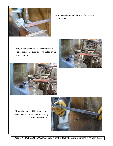

Here Joe is closing -up the end of a piece of square tube.

At right and below he's slowly reducing the size of the square tube by using a stop on his power hammer.





This technique could be used to step down in size a coffee table leg among other applications.



Page 9 ~ FORGE FACTS ~ A Publication of the Rocky Mountain Smiths ~ Winter 2015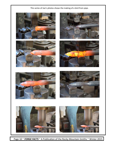















Page 10 ~ FORGE FACTS ~ A Publication of the Rocky Mountain Smiths ~ Winter 2015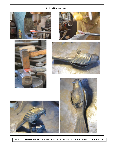### Bird making continued











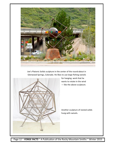

Joe's Platonic Solids sculpture in the center of the round-about in Glenwood Springs, Colorado. He likes to use large fishing swivels



for hanging work that he wants to rotate in the wind - like the above sculpture.

Another sculpture of nested solids hung with swivels.